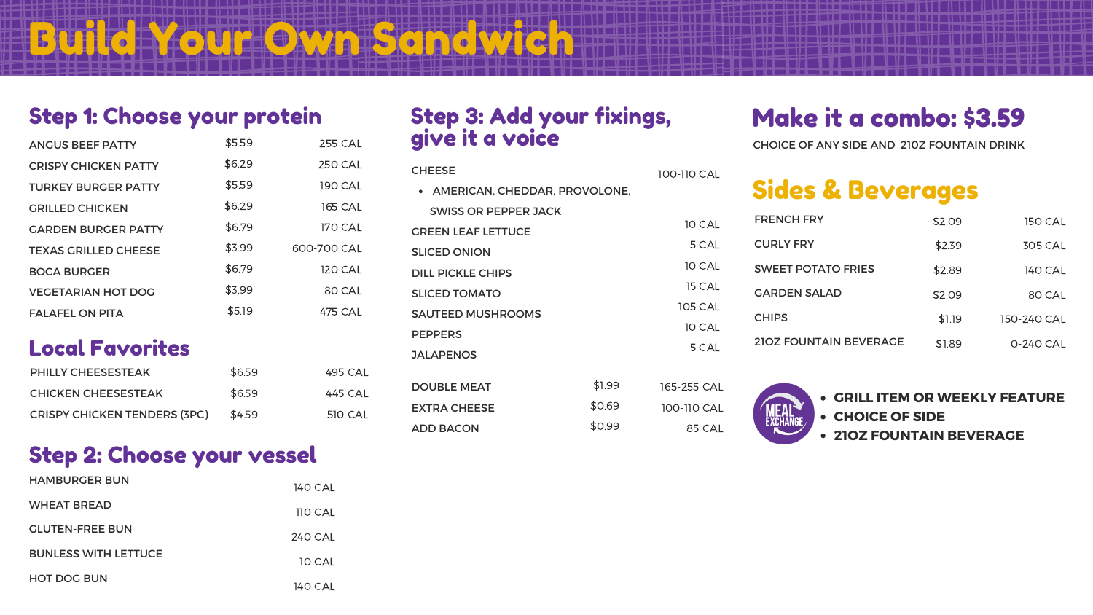## Step 1: Choose your protein

### Step 3: Add your fixings, give it a voice

| <b>ANGUS BEEF PATTY</b>     | \$5.59 | <b>255 CAL</b> |
|-----------------------------|--------|----------------|
| <b>CRISPY CHICKEN PATTY</b> | \$6.29 | <b>250 CAL</b> |
| <b>TURKEY BURGER PATTY</b>  | \$5.59 | <b>190 CAL</b> |
| <b>GRILLED CHICKEN</b>      | \$6.29 | <b>165 CAL</b> |
| <b>GARDEN BURGER PATTY</b>  | \$6.79 | <b>170 CAL</b> |
| <b>TEXAS GRILLED CHEESE</b> | \$3.99 | 600-700 CAL    |
| <b>BOCA BURGER</b>          | \$6.79 | <b>120 CAL</b> |
| <b>VEGETARIAN HOT DOG</b>   | \$3.99 | 80 CAL         |
| <b>FALAFEL ON PITA</b>      | \$5.19 | 475 CAL        |
| <b>Local Favorites</b>      |        |                |
| <b>PHILLY CHEESESTEAK</b>   | \$6.59 | <b>495 CAL</b> |
| <b>CHICKEN CHEESESTEAK</b>  | \$6.59 | 445 CAL        |

Build Your Own Sandwich

CHOICE OF ANY SIDE AND 210Z FOUNTAIN DRINK



- 
- 



# Make it a combo: \$3.59

| <b>CHEESE</b>                 |        |                |                                |        |                |  |
|-------------------------------|--------|----------------|--------------------------------|--------|----------------|--|
| AMERICAN, CHEDDAR, PROVOLONE, |        | 100-110 CAL    | <b>Sides &amp; Beverages</b>   |        |                |  |
| <b>SWISS OR PEPPER JACK</b>   |        |                | <b>FRENCH FRY</b>              |        |                |  |
| <b>GREEN LEAF LETTUCE</b>     |        | 10 CAL         |                                | \$2.09 | <b>150 CAL</b> |  |
| <b>SLICED ONION</b>           |        | 5 CAL          | <b>CURLY FRY</b>               | \$2.39 | <b>305 CAL</b> |  |
| <b>DILL PICKLE CHIPS</b>      |        | 10 CAL         | <b>SWEET POTATO FRIES</b>      | \$2.89 | <b>140 CAL</b> |  |
| <b>SLICED TOMATO</b>          |        | <b>15 CAL</b>  | <b>GARDEN SALAD</b>            | \$2.09 | 80 CAL         |  |
| <b>SAUTEED MUSHROOMS</b>      |        | <b>105 CAL</b> | <b>CHIPS</b>                   | \$1.19 | 150-240 CAL    |  |
| <b>PEPPERS</b>                |        | 10 CAL         |                                |        |                |  |
| <b>JALAPENOS</b>              |        | 5 CAL          | <b>210Z FOUNTAIN BEVERAGE</b>  | \$1.89 | 0-240 CAL      |  |
|                               |        |                |                                |        |                |  |
| <b>DOUBLE MEAT</b>            | \$1.99 | 165-255 CAL    | • GRILL ITEM OR WEEKLY FEATURE |        |                |  |
| <b>EXTRA CHEESE</b>           | \$0.69 | 100-110 CAL    | • CHOICE OF SIDE               |        |                |  |
| <b>ADD BACON</b>              | \$0.99 | 85 CAL         | 6167 FALINT AIN BEVERAGE       |        |                |  |

CRISPY CHICKEN TENDERS (3PC)

\$4.59

510 CAL

- 
- 
- **21OZ FOUNTAIN BEVERAGE**

### Step 2: Choose your vessel

| <b>HAMBURGER BUN</b>        | 140 CAL        |
|-----------------------------|----------------|
| <b>WHEAT BREAD</b>          | <b>110 CAL</b> |
| <b>GLUTEN-FREE BUN</b>      | 240 CAL        |
| <b>BUNLESS WITH LETTUCE</b> | <b>10 CAL</b>  |
| <b>HOT DOG BUN</b>          | 140 CAL        |